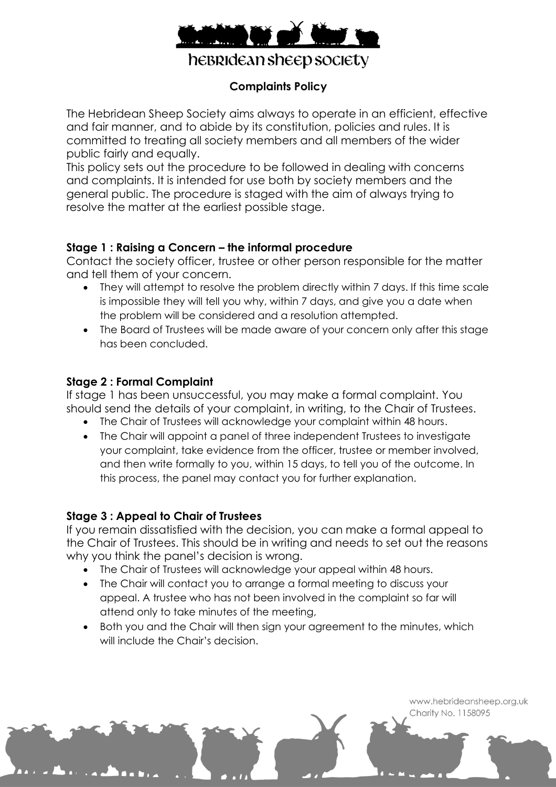

hebridean sheep society

## **Complaints Policy**

The Hebridean Sheep Society aims always to operate in an efficient, effective and fair manner, and to abide by its constitution, policies and rules. It is committed to treating all society members and all members of the wider public fairly and equally.

This policy sets out the procedure to be followed in dealing with concerns and complaints. It is intended for use both by society members and the general public. The procedure is staged with the aim of always trying to resolve the matter at the earliest possible stage.

#### **Stage 1 : Raising a Concern – the informal procedure**

Contact the society officer, trustee or other person responsible for the matter and tell them of your concern.

- They will attempt to resolve the problem directly within 7 days. If this time scale is impossible they will tell you why, within 7 days, and give you a date when the problem will be considered and a resolution attempted.
- The Board of Trustees will be made aware of your concern only after this stage has been concluded.

#### **Stage 2 : Formal Complaint**

If stage 1 has been unsuccessful, you may make a formal complaint. You should send the details of your complaint, in writing, to the Chair of Trustees.

- The Chair of Trustees will acknowledge your complaint within 48 hours.
- The Chair will appoint a panel of three independent Trustees to investigate your complaint, take evidence from the officer, trustee or member involved, and then write formally to you, within 15 days, to tell you of the outcome. In this process, the panel may contact you for further explanation.

### **Stage 3 : Appeal to Chair of Trustees**

If you remain dissatisfied with the decision, you can make a formal appeal to the Chair of Trustees. This should be in writing and needs to set out the reasons why you think the panel's decision is wrong.

- The Chair of Trustees will acknowledge your appeal within 48 hours.
- The Chair will contact you to arrange a formal meeting to discuss your appeal. A trustee who has not been involved in the complaint so far will attend only to take minutes of the meeting,
- Both you and the Chair will then sign your agreement to the minutes, which will include the Chair's decision.

www.hebrideansheep.org.uk Charity No. 1158095